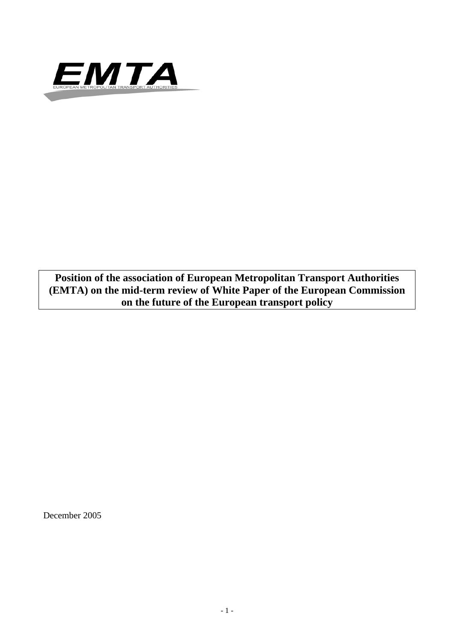

**Position of the association of European Metropolitan Transport Authorities (EMTA) on the mid-term review of White Paper of the European Commission on the future of the European transport policy**

December 2005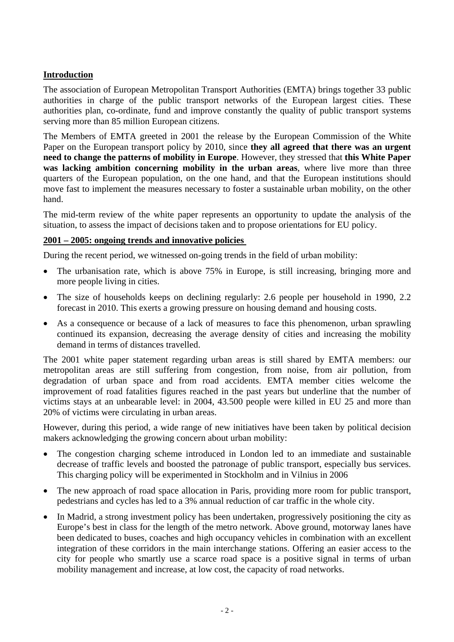# **Introduction**

The association of European Metropolitan Transport Authorities (EMTA) brings together 33 public authorities in charge of the public transport networks of the European largest cities. These authorities plan, co-ordinate, fund and improve constantly the quality of public transport systems serving more than 85 million European citizens.

The Members of EMTA greeted in 2001 the release by the European Commission of the White Paper on the European transport policy by 2010, since **they all agreed that there was an urgent need to change the patterns of mobility in Europe**. However, they stressed that **this White Paper was lacking ambition concerning mobility in the urban areas**, where live more than three quarters of the European population, on the one hand, and that the European institutions should move fast to implement the measures necessary to foster a sustainable urban mobility, on the other hand.

The mid-term review of the white paper represents an opportunity to update the analysis of the situation, to assess the impact of decisions taken and to propose orientations for EU policy.

#### **2001 – 2005: ongoing trends and innovative policies**

During the recent period, we witnessed on-going trends in the field of urban mobility:

- The urbanisation rate, which is above 75% in Europe, is still increasing, bringing more and more people living in cities.
- The size of households keeps on declining regularly: 2.6 people per household in 1990, 2.2 forecast in 2010. This exerts a growing pressure on housing demand and housing costs.
- As a consequence or because of a lack of measures to face this phenomenon, urban sprawling continued its expansion, decreasing the average density of cities and increasing the mobility demand in terms of distances travelled.

The 2001 white paper statement regarding urban areas is still shared by EMTA members: our metropolitan areas are still suffering from congestion, from noise, from air pollution, from degradation of urban space and from road accidents. EMTA member cities welcome the improvement of road fatalities figures reached in the past years but underline that the number of victims stays at an unbearable level: in 2004, 43.500 people were killed in EU 25 and more than 20% of victims were circulating in urban areas.

However, during this period, a wide range of new initiatives have been taken by political decision makers acknowledging the growing concern about urban mobility:

- The congestion charging scheme introduced in London led to an immediate and sustainable decrease of traffic levels and boosted the patronage of public transport, especially bus services. This charging policy will be experimented in Stockholm and in Vilnius in 2006
- The new approach of road space allocation in Paris, providing more room for public transport, pedestrians and cycles has led to a 3% annual reduction of car traffic in the whole city.
- In Madrid, a strong investment policy has been undertaken, progressively positioning the city as Europe's best in class for the length of the metro network. Above ground, motorway lanes have been dedicated to buses, coaches and high occupancy vehicles in combination with an excellent integration of these corridors in the main interchange stations. Offering an easier access to the city for people who smartly use a scarce road space is a positive signal in terms of urban mobility management and increase, at low cost, the capacity of road networks.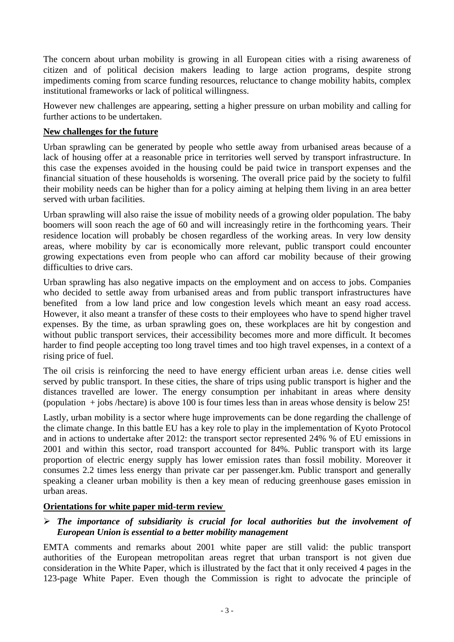The concern about urban mobility is growing in all European cities with a rising awareness of citizen and of political decision makers leading to large action programs, despite strong impediments coming from scarce funding resources, reluctance to change mobility habits, complex institutional frameworks or lack of political willingness.

However new challenges are appearing, setting a higher pressure on urban mobility and calling for further actions to be undertaken.

### **New challenges for the future**

Urban sprawling can be generated by people who settle away from urbanised areas because of a lack of housing offer at a reasonable price in territories well served by transport infrastructure. In this case the expenses avoided in the housing could be paid twice in transport expenses and the financial situation of these households is worsening. The overall price paid by the society to fulfil their mobility needs can be higher than for a policy aiming at helping them living in an area better served with urban facilities.

Urban sprawling will also raise the issue of mobility needs of a growing older population. The baby boomers will soon reach the age of 60 and will increasingly retire in the forthcoming years. Their residence location will probably be chosen regardless of the working areas. In very low density areas, where mobility by car is economically more relevant, public transport could encounter growing expectations even from people who can afford car mobility because of their growing difficulties to drive cars.

Urban sprawling has also negative impacts on the employment and on access to jobs. Companies who decided to settle away from urbanised areas and from public transport infrastructures have benefited from a low land price and low congestion levels which meant an easy road access. However, it also meant a transfer of these costs to their employees who have to spend higher travel expenses. By the time, as urban sprawling goes on, these workplaces are hit by congestion and without public transport services, their accessibility becomes more and more difficult. It becomes harder to find people accepting too long travel times and too high travel expenses, in a context of a rising price of fuel.

The oil crisis is reinforcing the need to have energy efficient urban areas i.e. dense cities well served by public transport. In these cities, the share of trips using public transport is higher and the distances travelled are lower. The energy consumption per inhabitant in areas where density (population + jobs /hectare) is above 100 is four times less than in areas whose density is below 25!

Lastly, urban mobility is a sector where huge improvements can be done regarding the challenge of the climate change. In this battle EU has a key role to play in the implementation of Kyoto Protocol and in actions to undertake after 2012: the transport sector represented 24% % of EU emissions in 2001 and within this sector, road transport accounted for 84%. Public transport with its large proportion of electric energy supply has lower emission rates than fossil mobility. Moreover it consumes 2.2 times less energy than private car per passenger.km. Public transport and generally speaking a cleaner urban mobility is then a key mean of reducing greenhouse gases emission in urban areas.

### **Orientations for white paper mid-term review**

### ¾ *The importance of subsidiarity is crucial for local authorities but the involvement of European Union is essential to a better mobility management*

EMTA comments and remarks about 2001 white paper are still valid: the public transport authorities of the European metropolitan areas regret that urban transport is not given due consideration in the White Paper, which is illustrated by the fact that it only received 4 pages in the 123-page White Paper. Even though the Commission is right to advocate the principle of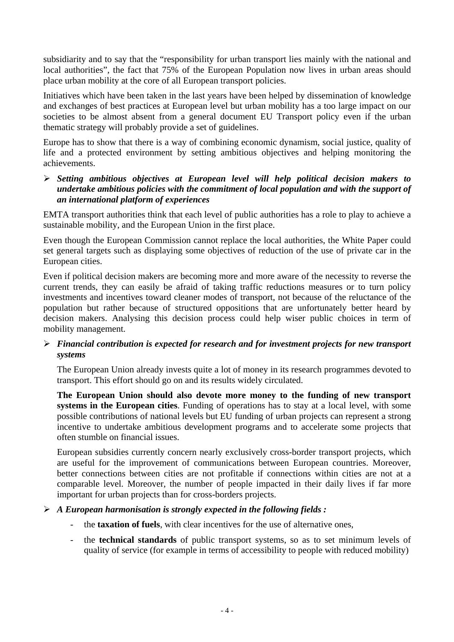subsidiarity and to say that the "responsibility for urban transport lies mainly with the national and local authorities", the fact that 75% of the European Population now lives in urban areas should place urban mobility at the core of all European transport policies.

Initiatives which have been taken in the last years have been helped by dissemination of knowledge and exchanges of best practices at European level but urban mobility has a too large impact on our societies to be almost absent from a general document EU Transport policy even if the urban thematic strategy will probably provide a set of guidelines.

Europe has to show that there is a way of combining economic dynamism, social justice, quality of life and a protected environment by setting ambitious objectives and helping monitoring the achievements.

¾ *Setting ambitious objectives at European level will help political decision makers to undertake ambitious policies with the commitment of local population and with the support of an international platform of experiences*

EMTA transport authorities think that each level of public authorities has a role to play to achieve a sustainable mobility, and the European Union in the first place.

Even though the European Commission cannot replace the local authorities, the White Paper could set general targets such as displaying some objectives of reduction of the use of private car in the European cities.

Even if political decision makers are becoming more and more aware of the necessity to reverse the current trends, they can easily be afraid of taking traffic reductions measures or to turn policy investments and incentives toward cleaner modes of transport, not because of the reluctance of the population but rather because of structured oppositions that are unfortunately better heard by decision makers. Analysing this decision process could help wiser public choices in term of mobility management.

## ¾ *Financial contribution is expected for research and for investment projects for new transport systems*

The European Union already invests quite a lot of money in its research programmes devoted to transport. This effort should go on and its results widely circulated.

**The European Union should also devote more money to the funding of new transport systems in the European cities**. Funding of operations has to stay at a local level, with some possible contributions of national levels but EU funding of urban projects can represent a strong incentive to undertake ambitious development programs and to accelerate some projects that often stumble on financial issues.

European subsidies currently concern nearly exclusively cross-border transport projects, which are useful for the improvement of communications between European countries. Moreover, better connections between cities are not profitable if connections within cities are not at a comparable level. Moreover, the number of people impacted in their daily lives if far more important for urban projects than for cross-borders projects.

### ¾ *A European harmonisation is strongly expected in the following fields :*

- the **taxation of fuels**, with clear incentives for the use of alternative ones,
- the **technical standards** of public transport systems, so as to set minimum levels of quality of service (for example in terms of accessibility to people with reduced mobility)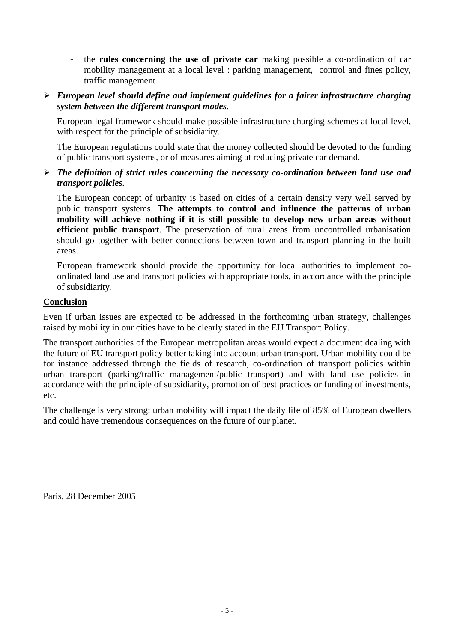- the **rules concerning the use of private car** making possible a co-ordination of car mobility management at a local level : parking management, control and fines policy, traffic management
- ¾ *European level should define and implement guidelines for a fairer infrastructure charging system between the different transport modes.*

European legal framework should make possible infrastructure charging schemes at local level, with respect for the principle of subsidiarity.

The European regulations could state that the money collected should be devoted to the funding of public transport systems, or of measures aiming at reducing private car demand.

¾ *The definition of strict rules concerning the necessary co-ordination between land use and transport policies.*

The European concept of urbanity is based on cities of a certain density very well served by public transport systems. **The attempts to control and influence the patterns of urban mobility will achieve nothing if it is still possible to develop new urban areas without efficient public transport**. The preservation of rural areas from uncontrolled urbanisation should go together with better connections between town and transport planning in the built areas.

European framework should provide the opportunity for local authorities to implement coordinated land use and transport policies with appropriate tools, in accordance with the principle of subsidiarity.

### **Conclusion**

Even if urban issues are expected to be addressed in the forthcoming urban strategy, challenges raised by mobility in our cities have to be clearly stated in the EU Transport Policy.

The transport authorities of the European metropolitan areas would expect a document dealing with the future of EU transport policy better taking into account urban transport. Urban mobility could be for instance addressed through the fields of research, co-ordination of transport policies within urban transport (parking/traffic management/public transport) and with land use policies in accordance with the principle of subsidiarity, promotion of best practices or funding of investments, etc.

The challenge is very strong: urban mobility will impact the daily life of 85% of European dwellers and could have tremendous consequences on the future of our planet.

Paris, 28 December 2005